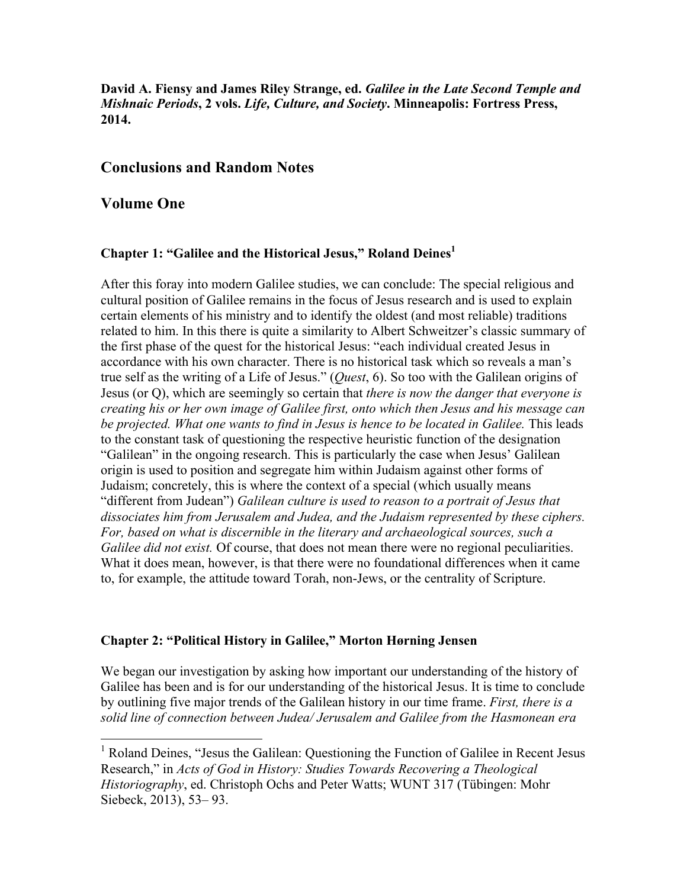**David A. Fiensy and James Riley Strange, ed.** *Galilee in the Late Second Temple and Mishnaic Periods***, 2 vols.** *Life, Culture, and Society***. Minneapolis: Fortress Press, 2014.** 

# **Conclusions and Random Notes**

# **Volume One**

 $\overline{\phantom{a}}$ 

# **Chapter 1: "Galilee and the Historical Jesus," Roland Deines<sup>1</sup>**

After this foray into modern Galilee studies, we can conclude: The special religious and cultural position of Galilee remains in the focus of Jesus research and is used to explain certain elements of his ministry and to identify the oldest (and most reliable) traditions related to him. In this there is quite a similarity to Albert Schweitzer's classic summary of the first phase of the quest for the historical Jesus: "each individual created Jesus in accordance with his own character. There is no historical task which so reveals a man's true self as the writing of a Life of Jesus." (*Quest*, 6). So too with the Galilean origins of Jesus (or Q), which are seemingly so certain that *there is now the danger that everyone is creating his or her own image of Galilee first, onto which then Jesus and his message can be projected. What one wants to find in Jesus is hence to be located in Galilee.* This leads to the constant task of questioning the respective heuristic function of the designation "Galilean" in the ongoing research. This is particularly the case when Jesus' Galilean origin is used to position and segregate him within Judaism against other forms of Judaism; concretely, this is where the context of a special (which usually means "different from Judean") *Galilean culture is used to reason to a portrait of Jesus that dissociates him from Jerusalem and Judea, and the Judaism represented by these ciphers. For, based on what is discernible in the literary and archaeological sources, such a Galilee did not exist.* Of course, that does not mean there were no regional peculiarities. What it does mean, however, is that there were no foundational differences when it came to, for example, the attitude toward Torah, non-Jews, or the centrality of Scripture.

# **Chapter 2: "Political History in Galilee," Morton Hørning Jensen**

We began our investigation by asking how important our understanding of the history of Galilee has been and is for our understanding of the historical Jesus. It is time to conclude by outlining five major trends of the Galilean history in our time frame. *First, there is a solid line of connection between Judea/ Jerusalem and Galilee from the Hasmonean era* 

<sup>&</sup>lt;sup>1</sup> Roland Deines, "Jesus the Galilean: Questioning the Function of Galilee in Recent Jesus Research," in *Acts of God in History: Studies Towards Recovering a Theological Historiography*, ed. Christoph Ochs and Peter Watts; WUNT 317 (Tübingen: Mohr Siebeck, 2013), 53– 93.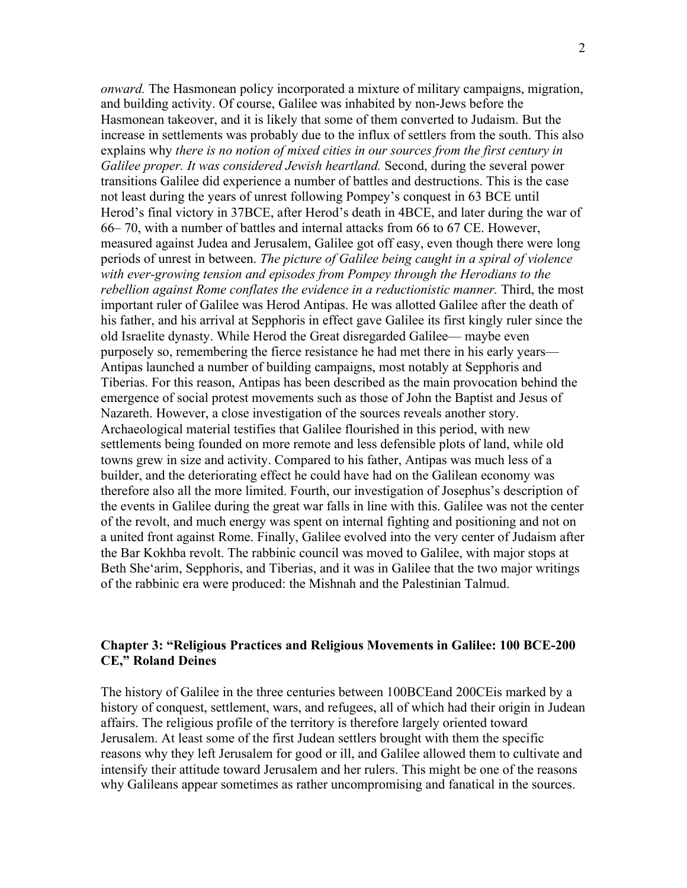*onward.* The Hasmonean policy incorporated a mixture of military campaigns, migration, and building activity. Of course, Galilee was inhabited by non-Jews before the Hasmonean takeover, and it is likely that some of them converted to Judaism. But the increase in settlements was probably due to the influx of settlers from the south. This also explains why *there is no notion of mixed cities in our sources from the first century in Galilee proper. It was considered Jewish heartland.* Second, during the several power transitions Galilee did experience a number of battles and destructions. This is the case not least during the years of unrest following Pompey's conquest in 63 BCE until Herod's final victory in 37BCE, after Herod's death in 4BCE, and later during the war of 66– 70, with a number of battles and internal attacks from 66 to 67 CE. However, measured against Judea and Jerusalem, Galilee got off easy, even though there were long periods of unrest in between. *The picture of Galilee being caught in a spiral of violence with ever-growing tension and episodes from Pompey through the Herodians to the*  rebellion against Rome conflates the evidence in a reductionistic manner. Third, the most important ruler of Galilee was Herod Antipas. He was allotted Galilee after the death of his father, and his arrival at Sepphoris in effect gave Galilee its first kingly ruler since the old Israelite dynasty. While Herod the Great disregarded Galilee— maybe even purposely so, remembering the fierce resistance he had met there in his early years— Antipas launched a number of building campaigns, most notably at Sepphoris and Tiberias. For this reason, Antipas has been described as the main provocation behind the emergence of social protest movements such as those of John the Baptist and Jesus of Nazareth. However, a close investigation of the sources reveals another story. Archaeological material testifies that Galilee flourished in this period, with new settlements being founded on more remote and less defensible plots of land, while old towns grew in size and activity. Compared to his father, Antipas was much less of a builder, and the deteriorating effect he could have had on the Galilean economy was therefore also all the more limited. Fourth, our investigation of Josephus's description of the events in Galilee during the great war falls in line with this. Galilee was not the center of the revolt, and much energy was spent on internal fighting and positioning and not on a united front against Rome. Finally, Galilee evolved into the very center of Judaism after the Bar Kokhba revolt. The rabbinic council was moved to Galilee, with major stops at Beth She'arim, Sepphoris, and Tiberias, and it was in Galilee that the two major writings of the rabbinic era were produced: the Mishnah and the Palestinian Talmud.

### **Chapter 3: "Religious Practices and Religious Movements in Galilee: 100 BCE-200 CE," Roland Deines**

The history of Galilee in the three centuries between 100BCEand 200CEis marked by a history of conquest, settlement, wars, and refugees, all of which had their origin in Judean affairs. The religious profile of the territory is therefore largely oriented toward Jerusalem. At least some of the first Judean settlers brought with them the specific reasons why they left Jerusalem for good or ill, and Galilee allowed them to cultivate and intensify their attitude toward Jerusalem and her rulers. This might be one of the reasons why Galileans appear sometimes as rather uncompromising and fanatical in the sources.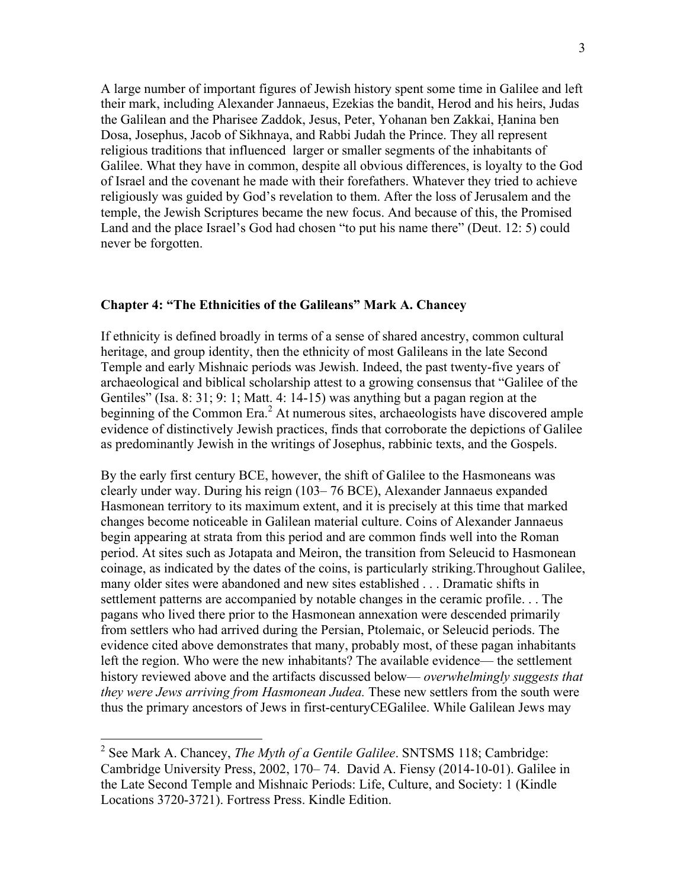A large number of important figures of Jewish history spent some time in Galilee and left their mark, including Alexander Jannaeus, Ezekias the bandit, Herod and his heirs, Judas the Galilean and the Pharisee Zaddok, Jesus, Peter, Yohanan ben Zakkai, Ḥanina ben Dosa, Josephus, Jacob of Sikhnaya, and Rabbi Judah the Prince. They all represent religious traditions that influenced larger or smaller segments of the inhabitants of Galilee. What they have in common, despite all obvious differences, is loyalty to the God of Israel and the covenant he made with their forefathers. Whatever they tried to achieve religiously was guided by God's revelation to them. After the loss of Jerusalem and the temple, the Jewish Scriptures became the new focus. And because of this, the Promised Land and the place Israel's God had chosen "to put his name there" (Deut. 12: 5) could never be forgotten.

### **Chapter 4: "The Ethnicities of the Galileans" Mark A. Chancey**

If ethnicity is defined broadly in terms of a sense of shared ancestry, common cultural heritage, and group identity, then the ethnicity of most Galileans in the late Second Temple and early Mishnaic periods was Jewish. Indeed, the past twenty-five years of archaeological and biblical scholarship attest to a growing consensus that "Galilee of the Gentiles" (Isa. 8: 31; 9: 1; Matt. 4: 14-15) was anything but a pagan region at the beginning of the Common Era.<sup>2</sup> At numerous sites, archaeologists have discovered ample evidence of distinctively Jewish practices, finds that corroborate the depictions of Galilee as predominantly Jewish in the writings of Josephus, rabbinic texts, and the Gospels.

By the early first century BCE, however, the shift of Galilee to the Hasmoneans was clearly under way. During his reign (103– 76 BCE), Alexander Jannaeus expanded Hasmonean territory to its maximum extent, and it is precisely at this time that marked changes become noticeable in Galilean material culture. Coins of Alexander Jannaeus begin appearing at strata from this period and are common finds well into the Roman period. At sites such as Jotapata and Meiron, the transition from Seleucid to Hasmonean coinage, as indicated by the dates of the coins, is particularly striking.Throughout Galilee, many older sites were abandoned and new sites established . . . Dramatic shifts in settlement patterns are accompanied by notable changes in the ceramic profile. . . The pagans who lived there prior to the Hasmonean annexation were descended primarily from settlers who had arrived during the Persian, Ptolemaic, or Seleucid periods. The evidence cited above demonstrates that many, probably most, of these pagan inhabitants left the region. Who were the new inhabitants? The available evidence— the settlement history reviewed above and the artifacts discussed below— *overwhelmingly suggests that they were Jews arriving from Hasmonean Judea.* These new settlers from the south were thus the primary ancestors of Jews in first-centuryCEGalilee. While Galilean Jews may

 $\overline{\phantom{a}}$ 

<sup>2</sup> See Mark A. Chancey, *The Myth of a Gentile Galilee*. SNTSMS 118; Cambridge: Cambridge University Press, 2002, 170– 74. David A. Fiensy (2014-10-01). Galilee in the Late Second Temple and Mishnaic Periods: Life, Culture, and Society: 1 (Kindle Locations 3720-3721). Fortress Press. Kindle Edition.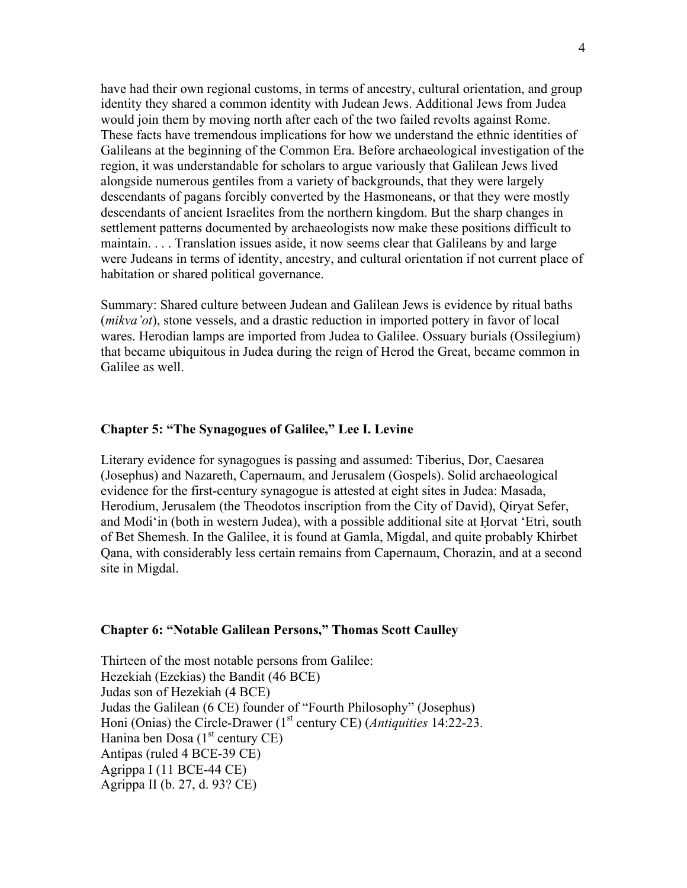have had their own regional customs, in terms of ancestry, cultural orientation, and group identity they shared a common identity with Judean Jews. Additional Jews from Judea would join them by moving north after each of the two failed revolts against Rome. These facts have tremendous implications for how we understand the ethnic identities of Galileans at the beginning of the Common Era. Before archaeological investigation of the region, it was understandable for scholars to argue variously that Galilean Jews lived alongside numerous gentiles from a variety of backgrounds, that they were largely descendants of pagans forcibly converted by the Hasmoneans, or that they were mostly descendants of ancient Israelites from the northern kingdom. But the sharp changes in settlement patterns documented by archaeologists now make these positions difficult to maintain. . . . Translation issues aside, it now seems clear that Galileans by and large were Judeans in terms of identity, ancestry, and cultural orientation if not current place of habitation or shared political governance.

Summary: Shared culture between Judean and Galilean Jews is evidence by ritual baths (*mikva'ot*), stone vessels, and a drastic reduction in imported pottery in favor of local wares. Herodian lamps are imported from Judea to Galilee. Ossuary burials (Ossilegium) that became ubiquitous in Judea during the reign of Herod the Great, became common in Galilee as well.

#### **Chapter 5: "The Synagogues of Galilee," Lee I. Levine**

Literary evidence for synagogues is passing and assumed: Tiberius, Dor, Caesarea (Josephus) and Nazareth, Capernaum, and Jerusalem (Gospels). Solid archaeological evidence for the first-century synagogue is attested at eight sites in Judea: Masada, Herodium, Jerusalem (the Theodotos inscription from the City of David), Qiryat Sefer, and Modi'in (both in western Judea), with a possible additional site at Ḥorvat 'Etri, south of Bet Shemesh. In the Galilee, it is found at Gamla, Migdal, and quite probably Khirbet Qana, with considerably less certain remains from Capernaum, Chorazin, and at a second site in Migdal.

### **Chapter 6: "Notable Galilean Persons," Thomas Scott Caulley**

Thirteen of the most notable persons from Galilee: Hezekiah (Ezekias) the Bandit (46 BCE) Judas son of Hezekiah (4 BCE) Judas the Galilean (6 CE) founder of "Fourth Philosophy" (Josephus) Honi (Onias) the Circle-Drawer (1<sup>st</sup> century CE) (*Antiquities* 14:22-23. Hanina ben Dosa  $(1<sup>st</sup>$  century CE) Antipas (ruled 4 BCE-39 CE) Agrippa I (11 BCE-44 CE) Agrippa II (b. 27, d. 93? CE)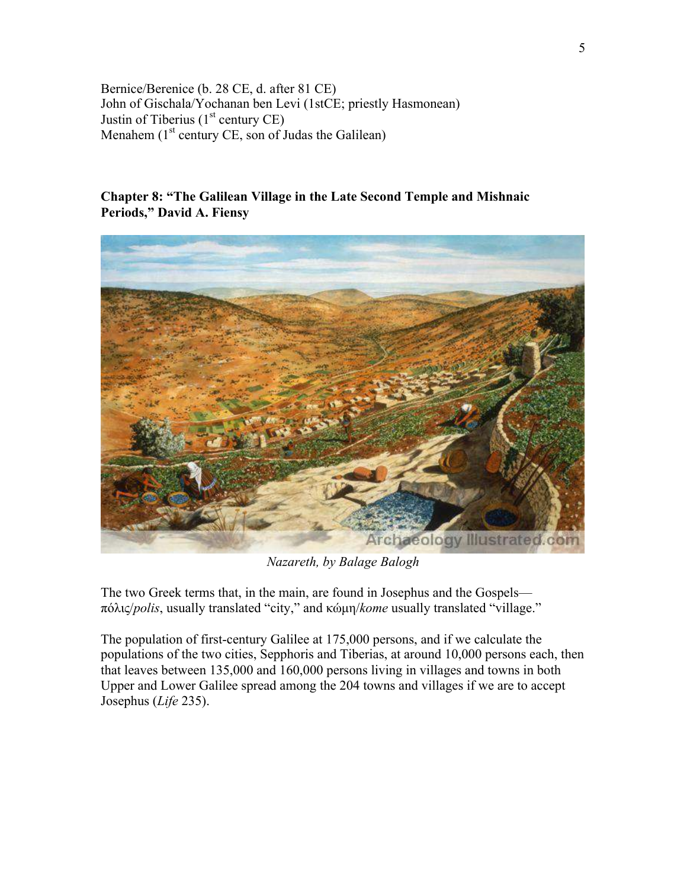Bernice/Berenice (b. 28 CE, d. after 81 CE) John of Gischala/Yochanan ben Levi (1stCE; priestly Hasmonean) Justin of Tiberius  $(1<sup>st</sup>$  century CE) Menahem  $(1<sup>st</sup> century CE, son of Judas the Galilean)$ 

# **Chapter 8: "The Galilean Village in the Late Second Temple and Mishnaic Periods," David A. Fiensy**



*Nazareth, by Balage Balogh* 

The two Greek terms that, in the main, are found in Josephus and the Gospels πόλις/*polis*, usually translated "city," and κώµη/*kome* usually translated "village."

The population of first-century Galilee at 175,000 persons, and if we calculate the populations of the two cities, Sepphoris and Tiberias, at around 10,000 persons each, then that leaves between 135,000 and 160,000 persons living in villages and towns in both Upper and Lower Galilee spread among the 204 towns and villages if we are to accept Josephus (*Life* 235).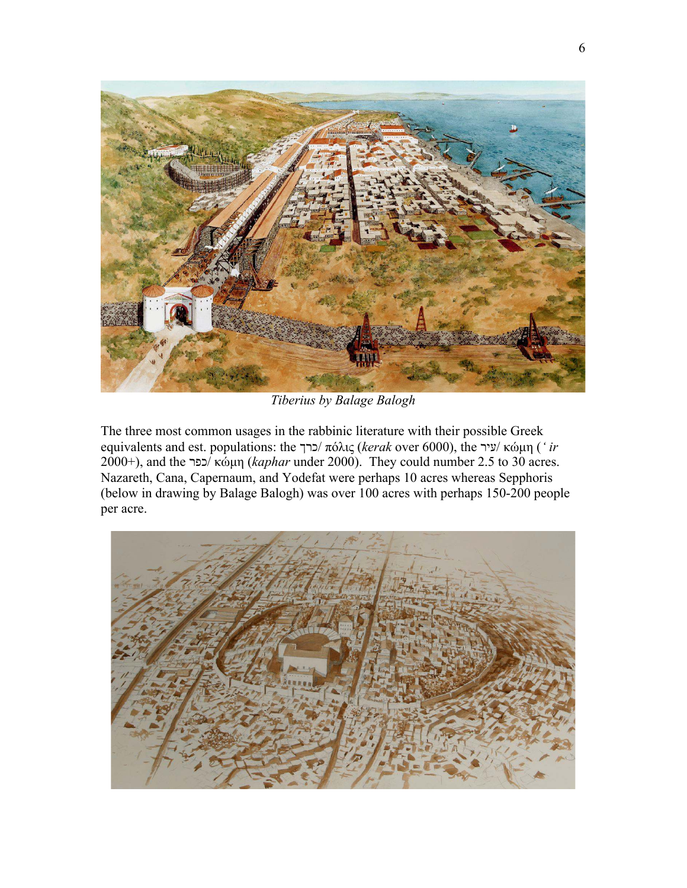

*Tiberius by Balage Balogh* 

The three most common usages in the rabbinic literature with their possible Greek equivalents and est. populations: the כרך/ πόλις (*kerak* over 6000), the עיר/ κώµη (*' ir*  2000+), and the <sup>-</sup>κώμη (*kaphar* under 2000). They could number 2.5 to 30 acres. Nazareth, Cana, Capernaum, and Yodefat were perhaps 10 acres whereas Sepphoris (below in drawing by Balage Balogh) was over 100 acres with perhaps 150-200 people per acre.

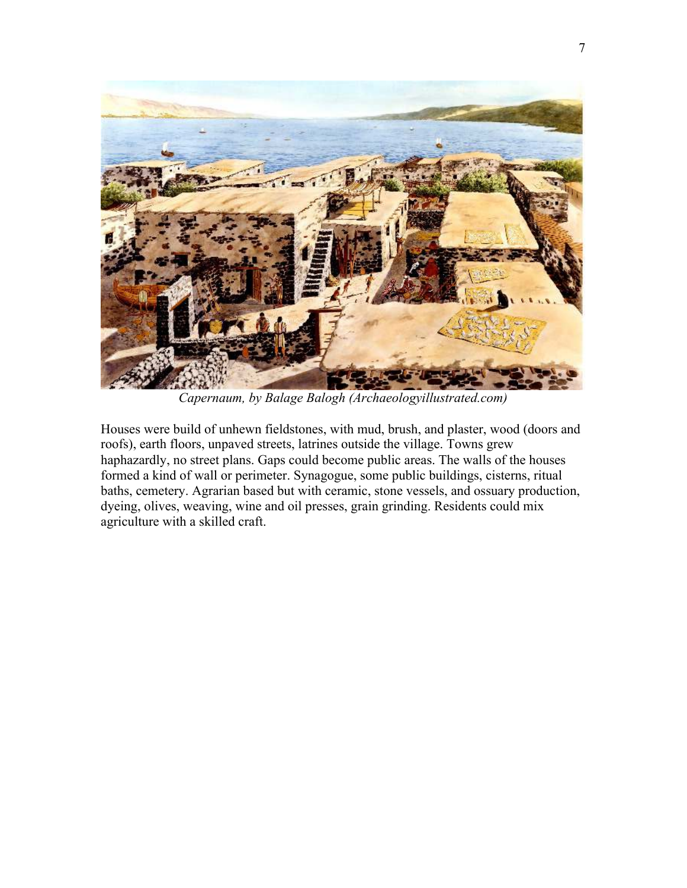

*Capernaum, by Balage Balogh (Archaeologyillustrated.com)* 

Houses were build of unhewn fieldstones, with mud, brush, and plaster, wood (doors and roofs), earth floors, unpaved streets, latrines outside the village. Towns grew haphazardly, no street plans. Gaps could become public areas. The walls of the houses formed a kind of wall or perimeter. Synagogue, some public buildings, cisterns, ritual baths, cemetery. Agrarian based but with ceramic, stone vessels, and ossuary production, dyeing, olives, weaving, wine and oil presses, grain grinding. Residents could mix agriculture with a skilled craft.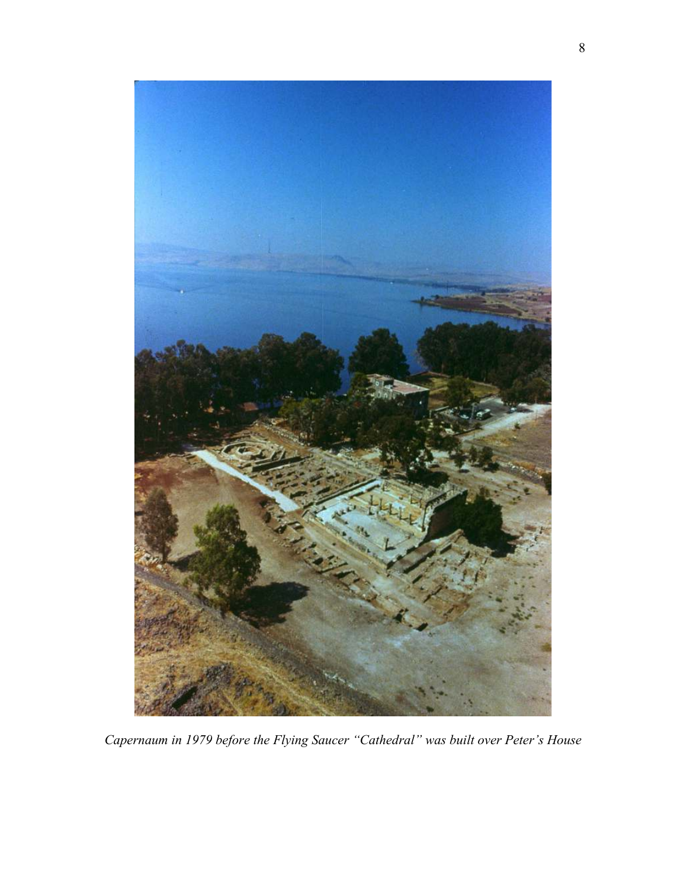

*Capernaum in 1979 before the Flying Saucer "Cathedral" was built over Peter's House*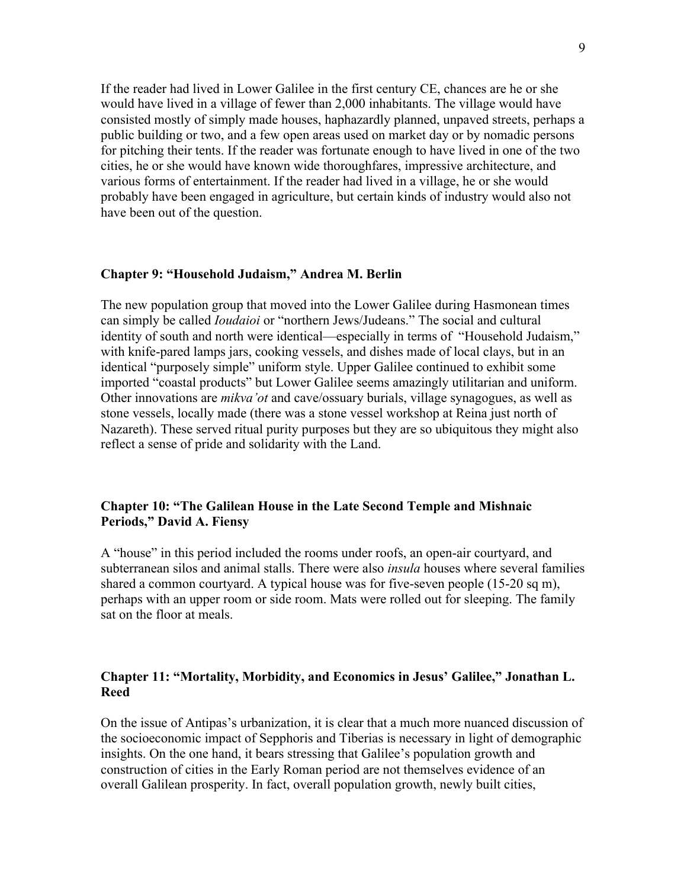If the reader had lived in Lower Galilee in the first century CE, chances are he or she would have lived in a village of fewer than 2,000 inhabitants. The village would have consisted mostly of simply made houses, haphazardly planned, unpaved streets, perhaps a public building or two, and a few open areas used on market day or by nomadic persons for pitching their tents. If the reader was fortunate enough to have lived in one of the two cities, he or she would have known wide thoroughfares, impressive architecture, and various forms of entertainment. If the reader had lived in a village, he or she would probably have been engaged in agriculture, but certain kinds of industry would also not have been out of the question.

#### **Chapter 9: "Household Judaism," Andrea M. Berlin**

The new population group that moved into the Lower Galilee during Hasmonean times can simply be called *Ioudaioi* or "northern Jews/Judeans." The social and cultural identity of south and north were identical—especially in terms of "Household Judaism," with knife-pared lamps jars, cooking vessels, and dishes made of local clays, but in an identical "purposely simple" uniform style. Upper Galilee continued to exhibit some imported "coastal products" but Lower Galilee seems amazingly utilitarian and uniform. Other innovations are *mikva'ot* and cave/ossuary burials, village synagogues, as well as stone vessels, locally made (there was a stone vessel workshop at Reina just north of Nazareth). These served ritual purity purposes but they are so ubiquitous they might also reflect a sense of pride and solidarity with the Land.

# **Chapter 10: "The Galilean House in the Late Second Temple and Mishnaic Periods," David A. Fiensy**

A "house" in this period included the rooms under roofs, an open-air courtyard, and subterranean silos and animal stalls. There were also *insula* houses where several families shared a common courtyard. A typical house was for five-seven people (15-20 sq m), perhaps with an upper room or side room. Mats were rolled out for sleeping. The family sat on the floor at meals.

### **Chapter 11: "Mortality, Morbidity, and Economics in Jesus' Galilee," Jonathan L. Reed**

On the issue of Antipas's urbanization, it is clear that a much more nuanced discussion of the socioeconomic impact of Sepphoris and Tiberias is necessary in light of demographic insights. On the one hand, it bears stressing that Galilee's population growth and construction of cities in the Early Roman period are not themselves evidence of an overall Galilean prosperity. In fact, overall population growth, newly built cities,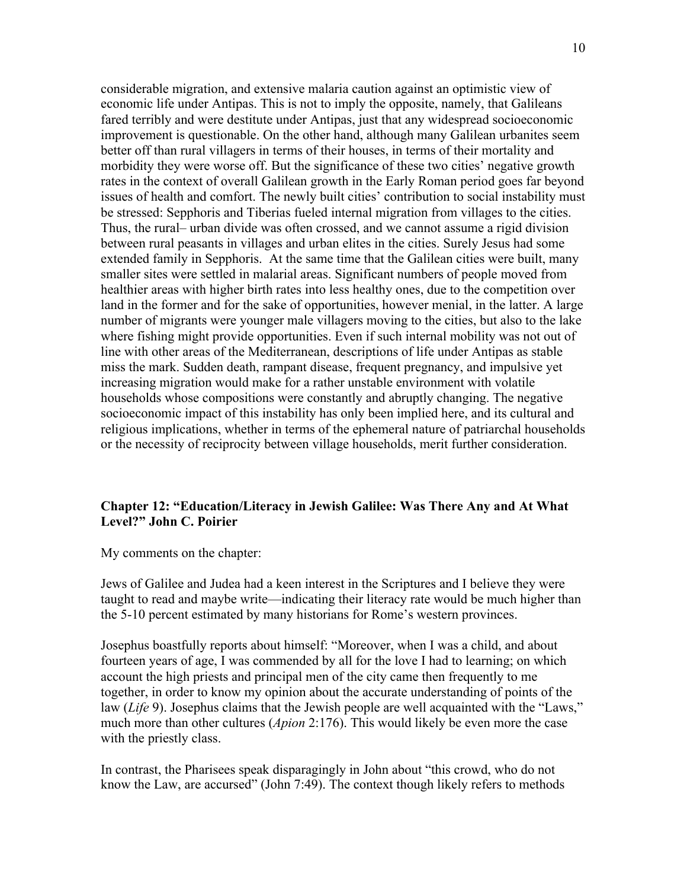considerable migration, and extensive malaria caution against an optimistic view of economic life under Antipas. This is not to imply the opposite, namely, that Galileans fared terribly and were destitute under Antipas, just that any widespread socioeconomic improvement is questionable. On the other hand, although many Galilean urbanites seem better off than rural villagers in terms of their houses, in terms of their mortality and morbidity they were worse off. But the significance of these two cities' negative growth rates in the context of overall Galilean growth in the Early Roman period goes far beyond issues of health and comfort. The newly built cities' contribution to social instability must be stressed: Sepphoris and Tiberias fueled internal migration from villages to the cities. Thus, the rural– urban divide was often crossed, and we cannot assume a rigid division between rural peasants in villages and urban elites in the cities. Surely Jesus had some extended family in Sepphoris. At the same time that the Galilean cities were built, many smaller sites were settled in malarial areas. Significant numbers of people moved from healthier areas with higher birth rates into less healthy ones, due to the competition over land in the former and for the sake of opportunities, however menial, in the latter. A large number of migrants were younger male villagers moving to the cities, but also to the lake where fishing might provide opportunities. Even if such internal mobility was not out of line with other areas of the Mediterranean, descriptions of life under Antipas as stable miss the mark. Sudden death, rampant disease, frequent pregnancy, and impulsive yet increasing migration would make for a rather unstable environment with volatile households whose compositions were constantly and abruptly changing. The negative socioeconomic impact of this instability has only been implied here, and its cultural and religious implications, whether in terms of the ephemeral nature of patriarchal households or the necessity of reciprocity between village households, merit further consideration.

# **Chapter 12: "Education/Literacy in Jewish Galilee: Was There Any and At What Level?" John C. Poirier**

My comments on the chapter:

Jews of Galilee and Judea had a keen interest in the Scriptures and I believe they were taught to read and maybe write—indicating their literacy rate would be much higher than the 5-10 percent estimated by many historians for Rome's western provinces.

Josephus boastfully reports about himself: "Moreover, when I was a child, and about fourteen years of age, I was commended by all for the love I had to learning; on which account the high priests and principal men of the city came then frequently to me together, in order to know my opinion about the accurate understanding of points of the law (*Life* 9). Josephus claims that the Jewish people are well acquainted with the "Laws," much more than other cultures (*Apion* 2:176). This would likely be even more the case with the priestly class.

In contrast, the Pharisees speak disparagingly in John about "this crowd, who do not know the Law, are accursed" (John 7:49). The context though likely refers to methods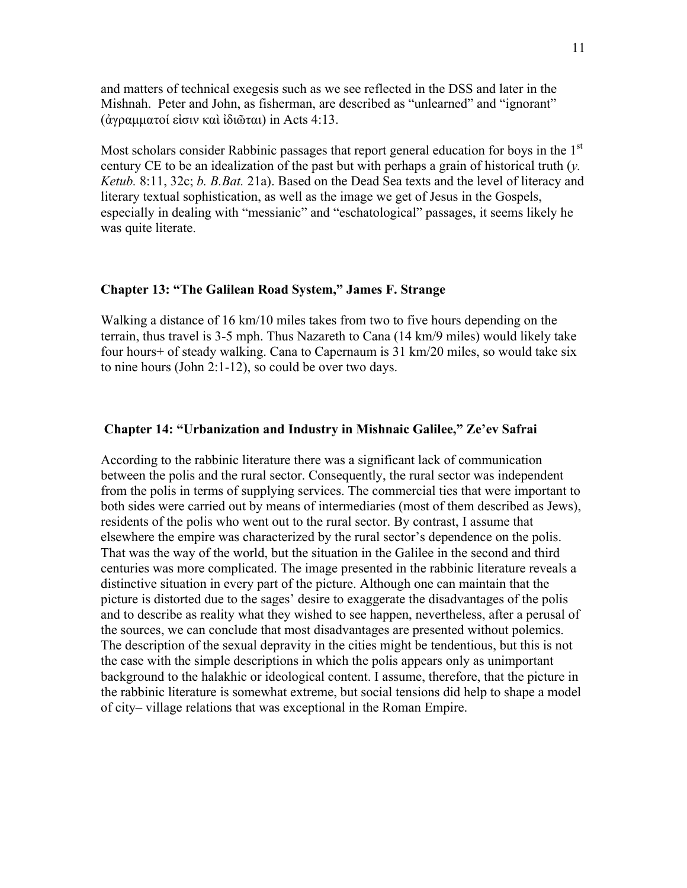and matters of technical exegesis such as we see reflected in the DSS and later in the Mishnah. Peter and John, as fisherman, are described as "unlearned" and "ignorant" (ἀγραµµατοί εἰσιν καὶ ἰδιῶται) in Acts 4:13.

Most scholars consider Rabbinic passages that report general education for boys in the  $1<sup>st</sup>$ century CE to be an idealization of the past but with perhaps a grain of historical truth (*y. Ketub.* 8:11, 32c; *b. B.Bat.* 21a). Based on the Dead Sea texts and the level of literacy and literary textual sophistication, as well as the image we get of Jesus in the Gospels, especially in dealing with "messianic" and "eschatological" passages, it seems likely he was quite literate.

# **Chapter 13: "The Galilean Road System," James F. Strange**

Walking a distance of 16 km/10 miles takes from two to five hours depending on the terrain, thus travel is 3-5 mph. Thus Nazareth to Cana (14 km/9 miles) would likely take four hours+ of steady walking. Cana to Capernaum is 31 km/20 miles, so would take six to nine hours (John 2:1-12), so could be over two days.

#### **Chapter 14: "Urbanization and Industry in Mishnaic Galilee," Ze'ev Safrai**

According to the rabbinic literature there was a significant lack of communication between the polis and the rural sector. Consequently, the rural sector was independent from the polis in terms of supplying services. The commercial ties that were important to both sides were carried out by means of intermediaries (most of them described as Jews), residents of the polis who went out to the rural sector. By contrast, I assume that elsewhere the empire was characterized by the rural sector's dependence on the polis. That was the way of the world, but the situation in the Galilee in the second and third centuries was more complicated. The image presented in the rabbinic literature reveals a distinctive situation in every part of the picture. Although one can maintain that the picture is distorted due to the sages' desire to exaggerate the disadvantages of the polis and to describe as reality what they wished to see happen, nevertheless, after a perusal of the sources, we can conclude that most disadvantages are presented without polemics. The description of the sexual depravity in the cities might be tendentious, but this is not the case with the simple descriptions in which the polis appears only as unimportant background to the halakhic or ideological content. I assume, therefore, that the picture in the rabbinic literature is somewhat extreme, but social tensions did help to shape a model of city– village relations that was exceptional in the Roman Empire.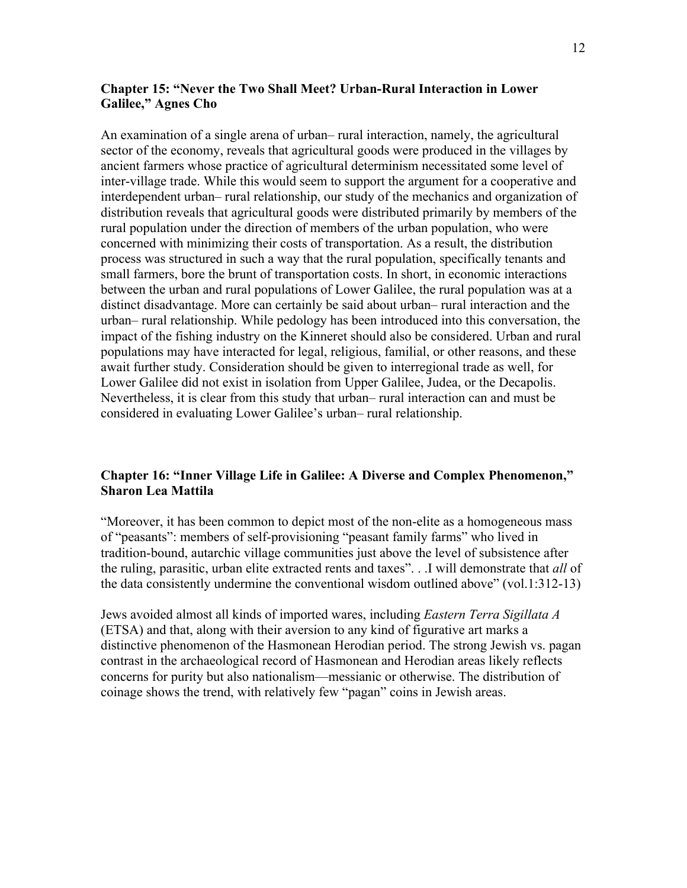# **Chapter 15: "Never the Two Shall Meet? Urban-Rural Interaction in Lower Galilee," Agnes Cho**

An examination of a single arena of urban– rural interaction, namely, the agricultural sector of the economy, reveals that agricultural goods were produced in the villages by ancient farmers whose practice of agricultural determinism necessitated some level of inter-village trade. While this would seem to support the argument for a cooperative and interdependent urban– rural relationship, our study of the mechanics and organization of distribution reveals that agricultural goods were distributed primarily by members of the rural population under the direction of members of the urban population, who were concerned with minimizing their costs of transportation. As a result, the distribution process was structured in such a way that the rural population, specifically tenants and small farmers, bore the brunt of transportation costs. In short, in economic interactions between the urban and rural populations of Lower Galilee, the rural population was at a distinct disadvantage. More can certainly be said about urban– rural interaction and the urban– rural relationship. While pedology has been introduced into this conversation, the impact of the fishing industry on the Kinneret should also be considered. Urban and rural populations may have interacted for legal, religious, familial, or other reasons, and these await further study. Consideration should be given to interregional trade as well, for Lower Galilee did not exist in isolation from Upper Galilee, Judea, or the Decapolis. Nevertheless, it is clear from this study that urban– rural interaction can and must be considered in evaluating Lower Galilee's urban– rural relationship.

# **Chapter 16: "Inner Village Life in Galilee: A Diverse and Complex Phenomenon," Sharon Lea Mattila**

"Moreover, it has been common to depict most of the non-elite as a homogeneous mass of "peasants": members of self-provisioning "peasant family farms" who lived in tradition-bound, autarchic village communities just above the level of subsistence after the ruling, parasitic, urban elite extracted rents and taxes". . .I will demonstrate that *all* of the data consistently undermine the conventional wisdom outlined above" (vol.1:312-13)

Jews avoided almost all kinds of imported wares, including *Eastern Terra Sigillata A* (ETSA) and that, along with their aversion to any kind of figurative art marks a distinctive phenomenon of the Hasmonean Herodian period. The strong Jewish vs. pagan contrast in the archaeological record of Hasmonean and Herodian areas likely reflects concerns for purity but also nationalism—messianic or otherwise. The distribution of coinage shows the trend, with relatively few "pagan" coins in Jewish areas.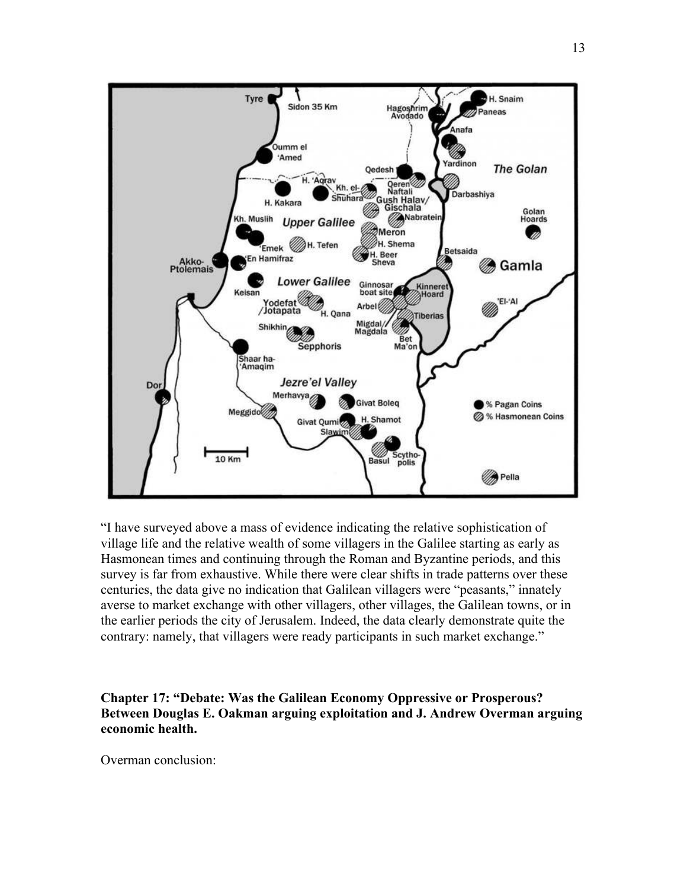

"I have surveyed above a mass of evidence indicating the relative sophistication of village life and the relative wealth of some villagers in the Galilee starting as early as Hasmonean times and continuing through the Roman and Byzantine periods, and this survey is far from exhaustive. While there were clear shifts in trade patterns over these centuries, the data give no indication that Galilean villagers were "peasants," innately averse to market exchange with other villagers, other villages, the Galilean towns, or in the earlier periods the city of Jerusalem. Indeed, the data clearly demonstrate quite the contrary: namely, that villagers were ready participants in such market exchange."

**Chapter 17: "Debate: Was the Galilean Economy Oppressive or Prosperous? Between Douglas E. Oakman arguing exploitation and J. Andrew Overman arguing economic health.** 

Overman conclusion: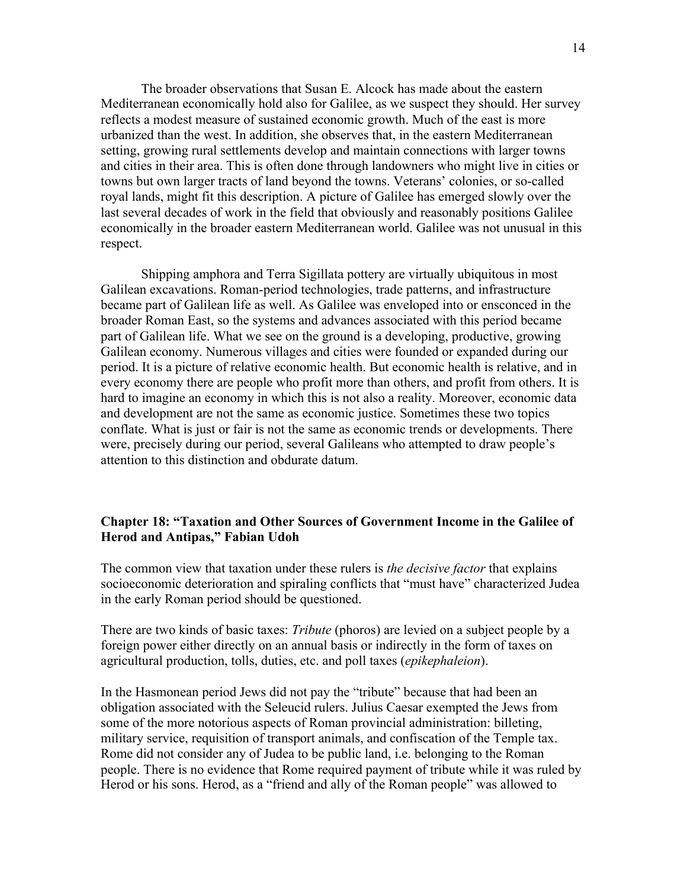The broader observations that Susan E. Alcock has made about the eastern Mediterranean economically hold also for Galilee, as we suspect they should. Her survey reflects a modest measure of sustained economic growth. Much of the east is more urbanized than the west. In addition, she observes that, in the eastern Mediterranean setting, growing rural settlements develop and maintain connections with larger towns and cities in their area. This is often done through landowners who might live in cities or towns but own larger tracts of land beyond the towns. Veterans' colonies, or so-called royal lands, might fit this description. A picture of Galilee has emerged slowly over the last several decades of work in the field that obviously and reasonably positions Galilee economically in the broader eastern Mediterranean world. Galilee was not unusual in this respect.

Shipping amphora and Terra Sigillata pottery are virtually ubiquitous in most Galilean excavations. Roman-period technologies, trade patterns, and infrastructure became part of Galilean life as well. As Galilee was enveloped into or ensconced in the broader Roman East, so the systems and advances associated with this period became part of Galilean life. What we see on the ground is a developing, productive, growing Galilean economy. Numerous villages and cities were founded or expanded during our period. It is a picture of relative economic health. But economic health is relative, and in every economy there are people who profit more than others, and profit from others. It is hard to imagine an economy in which this is not also a reality. Moreover, economic data and development are not the same as economic justice. Sometimes these two topics conflate. What is just or fair is not the same as economic trends or developments. There were, precisely during our period, several Galileans who attempted to draw people's attention to this distinction and obdurate datum.

# **Chapter 18: "Taxation and Other Sources of Government Income in the Galilee of Herod and Antipas," Fabian Udoh**

The common view that taxation under these rulers is *the decisive factor* that explains socioeconomic deterioration and spiraling conflicts that "must have" characterized Judea in the early Roman period should be questioned.

There are two kinds of basic taxes: *Tribute* (phoros) are levied on a subject people by a foreign power either directly on an annual basis or indirectly in the form of taxes on agricultural production, tolls, duties, etc. and poll taxes (*epikephaleion*).

In the Hasmonean period Jews did not pay the "tribute" because that had been an obligation associated with the Seleucid rulers. Julius Caesar exempted the Jews from some of the more notorious aspects of Roman provincial administration: billeting, military service, requisition of transport animals, and confiscation of the Temple tax. Rome did not consider any of Judea to be public land, i.e. belonging to the Roman people. There is no evidence that Rome required payment of tribute while it was ruled by Herod or his sons. Herod, as a "friend and ally of the Roman people" was allowed to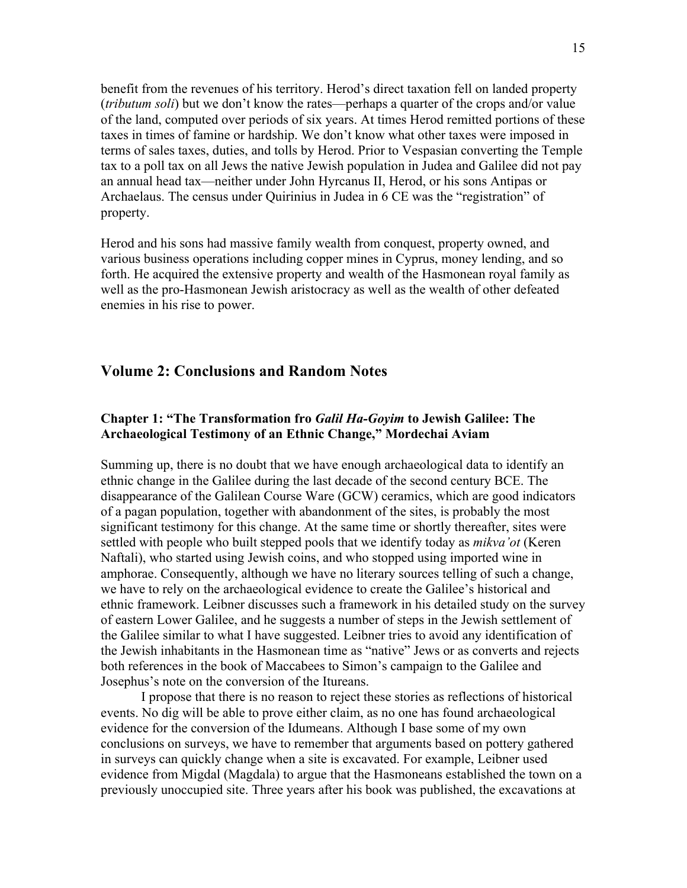benefit from the revenues of his territory. Herod's direct taxation fell on landed property (*tributum soli*) but we don't know the rates—perhaps a quarter of the crops and/or value of the land, computed over periods of six years. At times Herod remitted portions of these taxes in times of famine or hardship. We don't know what other taxes were imposed in terms of sales taxes, duties, and tolls by Herod. Prior to Vespasian converting the Temple tax to a poll tax on all Jews the native Jewish population in Judea and Galilee did not pay an annual head tax—neither under John Hyrcanus II, Herod, or his sons Antipas or Archaelaus. The census under Quirinius in Judea in 6 CE was the "registration" of property.

Herod and his sons had massive family wealth from conquest, property owned, and various business operations including copper mines in Cyprus, money lending, and so forth. He acquired the extensive property and wealth of the Hasmonean royal family as well as the pro-Hasmonean Jewish aristocracy as well as the wealth of other defeated enemies in his rise to power.

# **Volume 2: Conclusions and Random Notes**

# **Chapter 1: "The Transformation fro** *Galil Ha-Goyim* **to Jewish Galilee: The Archaeological Testimony of an Ethnic Change," Mordechai Aviam**

Summing up, there is no doubt that we have enough archaeological data to identify an ethnic change in the Galilee during the last decade of the second century BCE. The disappearance of the Galilean Course Ware (GCW) ceramics, which are good indicators of a pagan population, together with abandonment of the sites, is probably the most significant testimony for this change. At the same time or shortly thereafter, sites were settled with people who built stepped pools that we identify today as *mikva'ot* (Keren Naftali), who started using Jewish coins, and who stopped using imported wine in amphorae. Consequently, although we have no literary sources telling of such a change, we have to rely on the archaeological evidence to create the Galilee's historical and ethnic framework. Leibner discusses such a framework in his detailed study on the survey of eastern Lower Galilee, and he suggests a number of steps in the Jewish settlement of the Galilee similar to what I have suggested. Leibner tries to avoid any identification of the Jewish inhabitants in the Hasmonean time as "native" Jews or as converts and rejects both references in the book of Maccabees to Simon's campaign to the Galilee and Josephus's note on the conversion of the Itureans.

I propose that there is no reason to reject these stories as reflections of historical events. No dig will be able to prove either claim, as no one has found archaeological evidence for the conversion of the Idumeans. Although I base some of my own conclusions on surveys, we have to remember that arguments based on pottery gathered in surveys can quickly change when a site is excavated. For example, Leibner used evidence from Migdal (Magdala) to argue that the Hasmoneans established the town on a previously unoccupied site. Three years after his book was published, the excavations at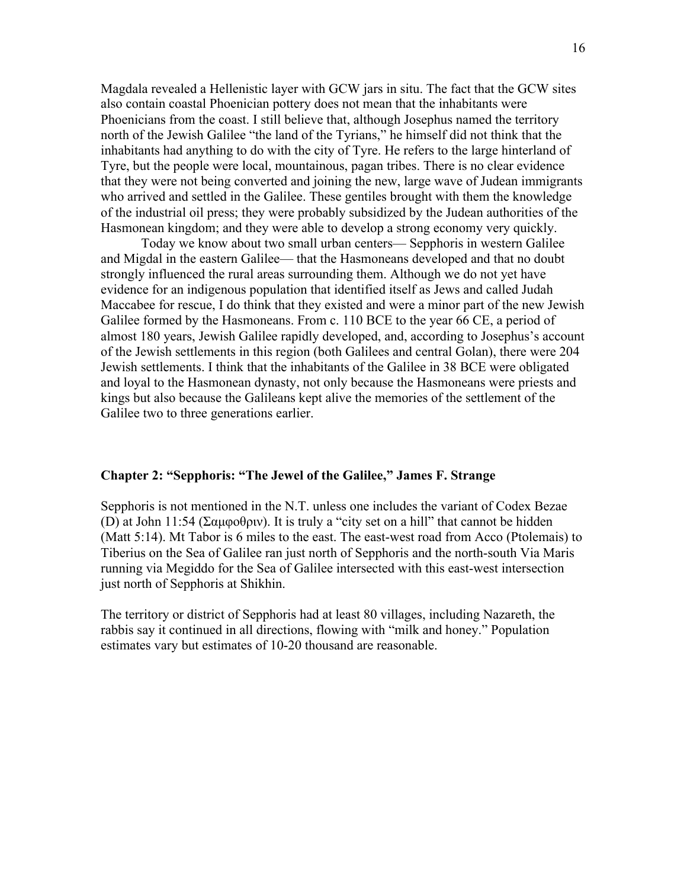Magdala revealed a Hellenistic layer with GCW jars in situ. The fact that the GCW sites also contain coastal Phoenician pottery does not mean that the inhabitants were Phoenicians from the coast. I still believe that, although Josephus named the territory north of the Jewish Galilee "the land of the Tyrians," he himself did not think that the inhabitants had anything to do with the city of Tyre. He refers to the large hinterland of Tyre, but the people were local, mountainous, pagan tribes. There is no clear evidence that they were not being converted and joining the new, large wave of Judean immigrants who arrived and settled in the Galilee. These gentiles brought with them the knowledge of the industrial oil press; they were probably subsidized by the Judean authorities of the Hasmonean kingdom; and they were able to develop a strong economy very quickly.

Today we know about two small urban centers— Sepphoris in western Galilee and Migdal in the eastern Galilee— that the Hasmoneans developed and that no doubt strongly influenced the rural areas surrounding them. Although we do not yet have evidence for an indigenous population that identified itself as Jews and called Judah Maccabee for rescue, I do think that they existed and were a minor part of the new Jewish Galilee formed by the Hasmoneans. From c. 110 BCE to the year 66 CE, a period of almost 180 years, Jewish Galilee rapidly developed, and, according to Josephus's account of the Jewish settlements in this region (both Galilees and central Golan), there were 204 Jewish settlements. I think that the inhabitants of the Galilee in 38 BCE were obligated and loyal to the Hasmonean dynasty, not only because the Hasmoneans were priests and kings but also because the Galileans kept alive the memories of the settlement of the Galilee two to three generations earlier.

# **Chapter 2: "Sepphoris: "The Jewel of the Galilee," James F. Strange**

Sepphoris is not mentioned in the N.T. unless one includes the variant of Codex Bezae (D) at John 11:54 (Σαμφοθριν). It is truly a "city set on a hill" that cannot be hidden (Matt 5:14). Mt Tabor is 6 miles to the east. The east-west road from Acco (Ptolemais) to Tiberius on the Sea of Galilee ran just north of Sepphoris and the north-south Via Maris running via Megiddo for the Sea of Galilee intersected with this east-west intersection just north of Sepphoris at Shikhin.

The territory or district of Sepphoris had at least 80 villages, including Nazareth, the rabbis say it continued in all directions, flowing with "milk and honey." Population estimates vary but estimates of 10-20 thousand are reasonable.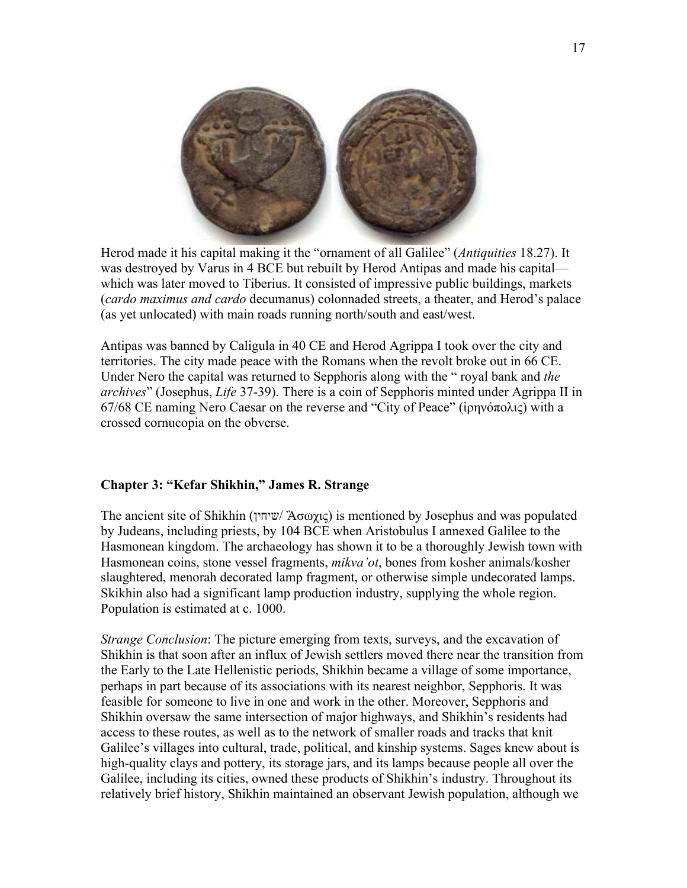

Herod made it his capital making it the "ornament of all Galilee" (*Antiquities* 18.27). It was destroyed by Varus in 4 BCE but rebuilt by Herod Antipas and made his capital which was later moved to Tiberius. It consisted of impressive public buildings, markets (*cardo maximus and cardo* decumanus) colonnaded streets, a theater, and Herod's palace (as yet unlocated) with main roads running north/south and east/west.

Antipas was banned by Caligula in 40 CE and Herod Agrippa I took over the city and territories. The city made peace with the Romans when the revolt broke out in 66 CE. Under Nero the capital was returned to Sepphoris along with the " royal bank and *the archives*" (Josephus, *Life* 37-39). There is a coin of Sepphoris minted under Agrippa II in 67/68 CE naming Nero Caesar on the reverse and "City of Peace" (ἰρηνόπολις) with a crossed cornucopia on the obverse.

# **Chapter 3: "Kefar Shikhin," James R. Strange**

The ancient site of Shikhin (שיחין/ Ἂσωχις) is mentioned by Josephus and was populated by Judeans, including priests, by 104 BCE when Aristobulus I annexed Galilee to the Hasmonean kingdom. The archaeology has shown it to be a thoroughly Jewish town with Hasmonean coins, stone vessel fragments, *mikva'ot*, bones from kosher animals/kosher slaughtered, menorah decorated lamp fragment, or otherwise simple undecorated lamps. Skikhin also had a significant lamp production industry, supplying the whole region. Population is estimated at c. 1000.

*Strange Conclusion*: The picture emerging from texts, surveys, and the excavation of Shikhin is that soon after an influx of Jewish settlers moved there near the transition from the Early to the Late Hellenistic periods, Shikhin became a village of some importance, perhaps in part because of its associations with its nearest neighbor, Sepphoris. It was feasible for someone to live in one and work in the other. Moreover, Sepphoris and Shikhin oversaw the same intersection of major highways, and Shikhin's residents had access to these routes, as well as to the network of smaller roads and tracks that knit Galilee's villages into cultural, trade, political, and kinship systems. Sages knew about is high-quality clays and pottery, its storage jars, and its lamps because people all over the Galilee, including its cities, owned these products of Shikhin's industry. Throughout its relatively brief history, Shikhin maintained an observant Jewish population, although we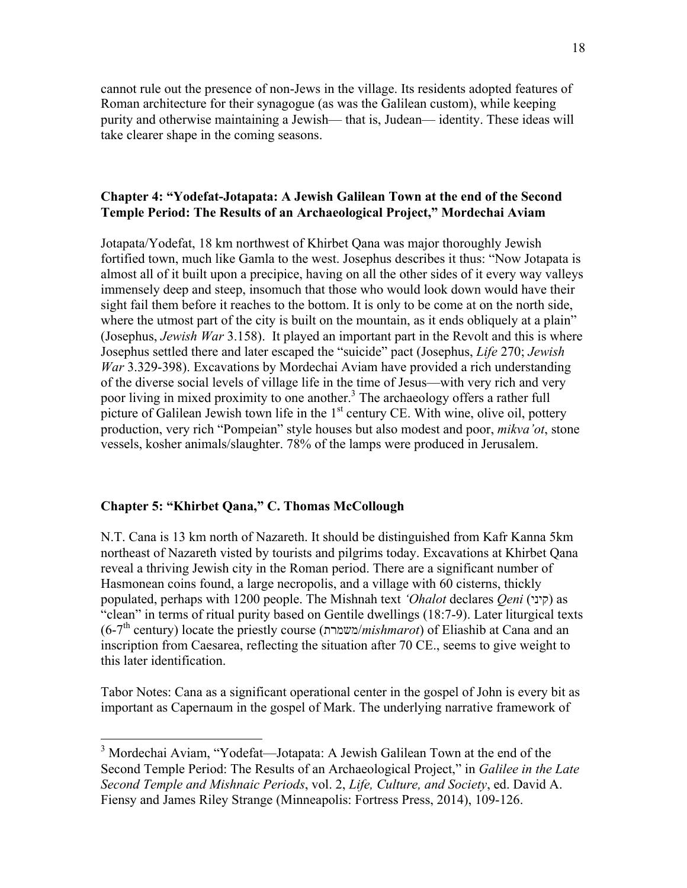cannot rule out the presence of non-Jews in the village. Its residents adopted features of Roman architecture for their synagogue (as was the Galilean custom), while keeping purity and otherwise maintaining a Jewish— that is, Judean— identity. These ideas will take clearer shape in the coming seasons.

# **Chapter 4: "Yodefat-Jotapata: A Jewish Galilean Town at the end of the Second Temple Period: The Results of an Archaeological Project," Mordechai Aviam**

Jotapata/Yodefat, 18 km northwest of Khirbet Qana was major thoroughly Jewish fortified town, much like Gamla to the west. Josephus describes it thus: "Now Jotapata is almost all of it built upon a precipice, having on all the other sides of it every way valleys immensely deep and steep, insomuch that those who would look down would have their sight fail them before it reaches to the bottom. It is only to be come at on the north side, where the utmost part of the city is built on the mountain, as it ends obliquely at a plain" (Josephus, *Jewish War* 3.158). It played an important part in the Revolt and this is where Josephus settled there and later escaped the "suicide" pact (Josephus, *Life* 270; *Jewish War* 3.329-398). Excavations by Mordechai Aviam have provided a rich understanding of the diverse social levels of village life in the time of Jesus—with very rich and very poor living in mixed proximity to one another.<sup>3</sup> The archaeology offers a rather full picture of Galilean Jewish town life in the  $1<sup>st</sup>$  century CE. With wine, olive oil, pottery production, very rich "Pompeian" style houses but also modest and poor, *mikva'ot*, stone vessels, kosher animals/slaughter. 78% of the lamps were produced in Jerusalem.

# **Chapter 5: "Khirbet Qana," C. Thomas McCollough**

 $\overline{a}$ 

N.T. Cana is 13 km north of Nazareth. It should be distinguished from Kafr Kanna 5km northeast of Nazareth visted by tourists and pilgrims today. Excavations at Khirbet Qana reveal a thriving Jewish city in the Roman period. There are a significant number of Hasmonean coins found, a large necropolis, and a village with 60 cisterns, thickly populated, perhaps with 1200 people. The Mishnah text *'Ohalot* declares *Qeni* (קיני) as "clean" in terms of ritual purity based on Gentile dwellings (18:7-9). Later liturgical texts (6-7th century) locate the priestly course (משמרת/*mishmarot*) of Eliashib at Cana and an inscription from Caesarea, reflecting the situation after 70 CE., seems to give weight to this later identification.

Tabor Notes: Cana as a significant operational center in the gospel of John is every bit as important as Capernaum in the gospel of Mark. The underlying narrative framework of

<sup>&</sup>lt;sup>3</sup> Mordechai Aviam, "Yodefat—Jotapata: A Jewish Galilean Town at the end of the Second Temple Period: The Results of an Archaeological Project," in *Galilee in the Late Second Temple and Mishnaic Periods*, vol. 2, *Life, Culture, and Society*, ed. David A. Fiensy and James Riley Strange (Minneapolis: Fortress Press, 2014), 109-126.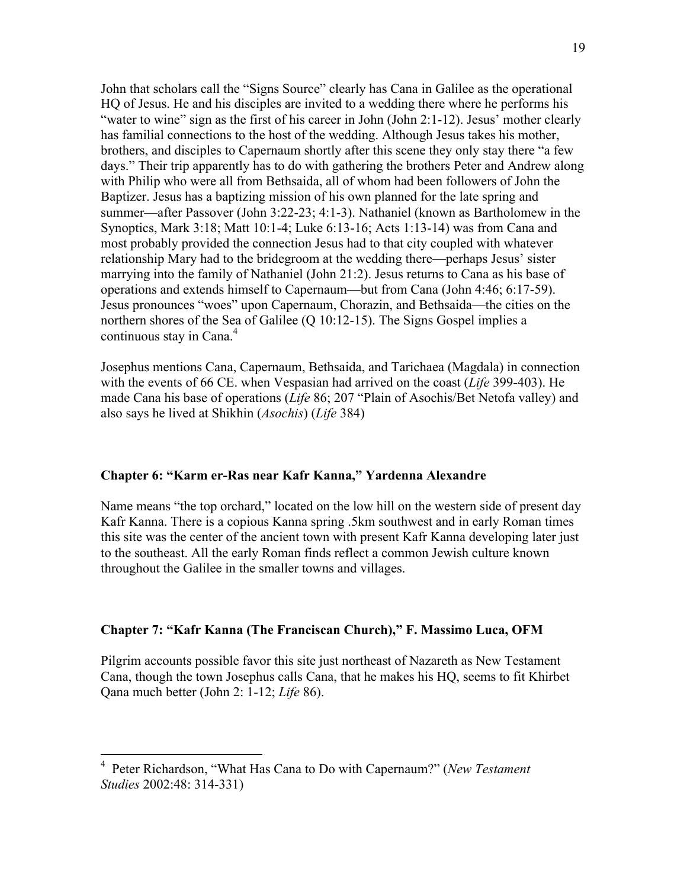John that scholars call the "Signs Source" clearly has Cana in Galilee as the operational HQ of Jesus. He and his disciples are invited to a wedding there where he performs his "water to wine" sign as the first of his career in John (John 2:1-12). Jesus' mother clearly has familial connections to the host of the wedding. Although Jesus takes his mother, brothers, and disciples to Capernaum shortly after this scene they only stay there "a few days." Their trip apparently has to do with gathering the brothers Peter and Andrew along with Philip who were all from Bethsaida, all of whom had been followers of John the Baptizer. Jesus has a baptizing mission of his own planned for the late spring and summer—after Passover (John 3:22-23; 4:1-3). Nathaniel (known as Bartholomew in the Synoptics, Mark 3:18; Matt 10:1-4; Luke 6:13-16; Acts 1:13-14) was from Cana and most probably provided the connection Jesus had to that city coupled with whatever relationship Mary had to the bridegroom at the wedding there—perhaps Jesus' sister marrying into the family of Nathaniel (John 21:2). Jesus returns to Cana as his base of operations and extends himself to Capernaum—but from Cana (John 4:46; 6:17-59). Jesus pronounces "woes" upon Capernaum, Chorazin, and Bethsaida—the cities on the northern shores of the Sea of Galilee (Q 10:12-15). The Signs Gospel implies a continuous stay in Cana.<sup>4</sup>

Josephus mentions Cana, Capernaum, Bethsaida, and Tarichaea (Magdala) in connection with the events of 66 CE. when Vespasian had arrived on the coast (*Life* 399-403). He made Cana his base of operations (*Life* 86; 207 "Plain of Asochis/Bet Netofa valley) and also says he lived at Shikhin (*Asochis*) (*Life* 384)

# **Chapter 6: "Karm er-Ras near Kafr Kanna," Yardenna Alexandre**

Name means "the top orchard," located on the low hill on the western side of present day Kafr Kanna. There is a copious Kanna spring .5km southwest and in early Roman times this site was the center of the ancient town with present Kafr Kanna developing later just to the southeast. All the early Roman finds reflect a common Jewish culture known throughout the Galilee in the smaller towns and villages.

# **Chapter 7: "Kafr Kanna (The Franciscan Church)," F. Massimo Luca, OFM**

Pilgrim accounts possible favor this site just northeast of Nazareth as New Testament Cana, though the town Josephus calls Cana, that he makes his HQ, seems to fit Khirbet Qana much better (John 2: 1-12; *Life* 86).

 $\overline{a}$ 

<sup>4</sup> Peter Richardson, "What Has Cana to Do with Capernaum?" (*New Testament Studies* 2002:48: 314-331)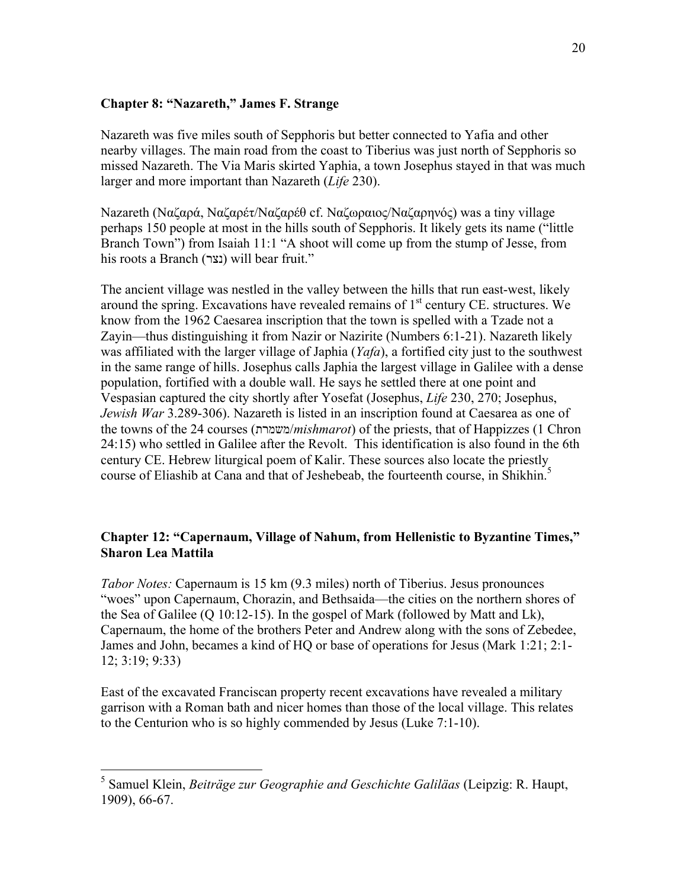# **Chapter 8: "Nazareth," James F. Strange**

Nazareth was five miles south of Sepphoris but better connected to Yafia and other nearby villages. The main road from the coast to Tiberius was just north of Sepphoris so missed Nazareth. The Via Maris skirted Yaphia, a town Josephus stayed in that was much larger and more important than Nazareth (*Life* 230).

Nazareth (Ναζαρά, Ναζαρέτ/Ναζαρέθ cf. Ναζωραιος/Ναζαρηνός) was a tiny village perhaps 150 people at most in the hills south of Sepphoris. It likely gets its name ("little Branch Town") from Isaiah 11:1 "A shoot will come up from the stump of Jesse, from his roots a Branch (נצר) will bear fruit."

The ancient village was nestled in the valley between the hills that run east-west, likely around the spring. Excavations have revealed remains of  $1<sup>st</sup>$  century CE. structures. We know from the 1962 Caesarea inscription that the town is spelled with a Tzade not a Zayin—thus distinguishing it from Nazir or Nazirite (Numbers 6:1-21). Nazareth likely was affiliated with the larger village of Japhia (*Yafa*), a fortified city just to the southwest in the same range of hills. Josephus calls Japhia the largest village in Galilee with a dense population, fortified with a double wall. He says he settled there at one point and Vespasian captured the city shortly after Yosefat (Josephus, *Life* 230, 270; Josephus, *Jewish War* 3.289-306). Nazareth is listed in an inscription found at Caesarea as one of the towns of the 24 courses (משמרת/*mishmarot*) of the priests, that of Happizzes (1 Chron 24:15) who settled in Galilee after the Revolt. This identification is also found in the 6th century CE. Hebrew liturgical poem of Kalir. These sources also locate the priestly course of Eliashib at Cana and that of Jeshebeab, the fourteenth course, in Shikhin.<sup>5</sup>

# **Chapter 12: "Capernaum, Village of Nahum, from Hellenistic to Byzantine Times," Sharon Lea Mattila**

*Tabor Notes:* Capernaum is 15 km (9.3 miles) north of Tiberius. Jesus pronounces "woes" upon Capernaum, Chorazin, and Bethsaida—the cities on the northern shores of the Sea of Galilee  $(Q 10:12-15)$ . In the gospel of Mark (followed by Matt and Lk), Capernaum, the home of the brothers Peter and Andrew along with the sons of Zebedee, James and John, becames a kind of HQ or base of operations for Jesus (Mark 1:21; 2:1- 12; 3:19; 9:33)

East of the excavated Franciscan property recent excavations have revealed a military garrison with a Roman bath and nicer homes than those of the local village. This relates to the Centurion who is so highly commended by Jesus (Luke 7:1-10).

 5 Samuel Klein, *Beiträge zur Geographie and Geschichte Galiläas* (Leipzig: R. Haupt, 1909), 66-67.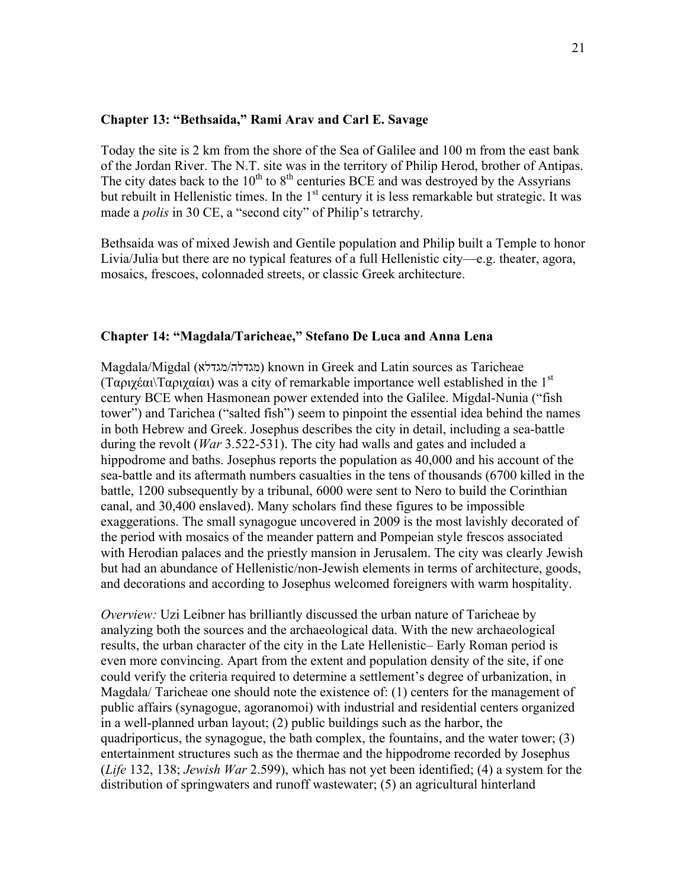#### **Chapter 13: "Bethsaida," Rami Arav and Carl E. Savage**

Today the site is 2 km from the shore of the Sea of Galilee and 100 m from the east bank of the Jordan River. The N.T. site was in the territory of Philip Herod, brother of Antipas. The city dates back to the  $10<sup>th</sup>$  to  $8<sup>th</sup>$  centuries BCE and was destroyed by the Assyrians but rebuilt in Hellenistic times. In the 1<sup>st</sup> century it is less remarkable but strategic. It was made a *polis* in 30 CE, a "second city" of Philip's tetrarchy.

Bethsaida was of mixed Jewish and Gentile population and Philip built a Temple to honor Livia/Julia but there are no typical features of a full Hellenistic city—e.g. theater, agora, mosaics, frescoes, colonnaded streets, or classic Greek architecture.

#### **Chapter 14: "Magdala/Taricheae," Stefano De Luca and Anna Lena**

Magdala/Migdal (מגדלא/מגדלה (known in Greek and Latin sources as Taricheae (Tαριχέαι\Ταριχαίαι) was a city of remarkable importance well established in the 1<sup>st</sup> century BCE when Hasmonean power extended into the Galilee. Migdal-Nunia ("fish tower") and Tarichea ("salted fish") seem to pinpoint the essential idea behind the names in both Hebrew and Greek. Josephus describes the city in detail, including a sea-battle during the revolt (*War* 3.522-531). The city had walls and gates and included a hippodrome and baths. Josephus reports the population as 40,000 and his account of the sea-battle and its aftermath numbers casualties in the tens of thousands (6700 killed in the battle, 1200 subsequently by a tribunal, 6000 were sent to Nero to build the Corinthian canal, and 30,400 enslaved). Many scholars find these figures to be impossible exaggerations. The small synagogue uncovered in 2009 is the most lavishly decorated of the period with mosaics of the meander pattern and Pompeian style frescos associated with Herodian palaces and the priestly mansion in Jerusalem. The city was clearly Jewish but had an abundance of Hellenistic/non-Jewish elements in terms of architecture, goods, and decorations and according to Josephus welcomed foreigners with warm hospitality.

*Overview:* Uzi Leibner has brilliantly discussed the urban nature of Taricheae by analyzing both the sources and the archaeological data. With the new archaeological results, the urban character of the city in the Late Hellenistic– Early Roman period is even more convincing. Apart from the extent and population density of the site, if one could verify the criteria required to determine a settlement's degree of urbanization, in Magdala/ Taricheae one should note the existence of: (1) centers for the management of public affairs (synagogue, agoranomoi) with industrial and residential centers organized in a well-planned urban layout; (2) public buildings such as the harbor, the quadriporticus, the synagogue, the bath complex, the fountains, and the water tower; (3) entertainment structures such as the thermae and the hippodrome recorded by Josephus (*Life* 132, 138; *Jewish War* 2.599), which has not yet been identified; (4) a system for the distribution of springwaters and runoff wastewater; (5) an agricultural hinterland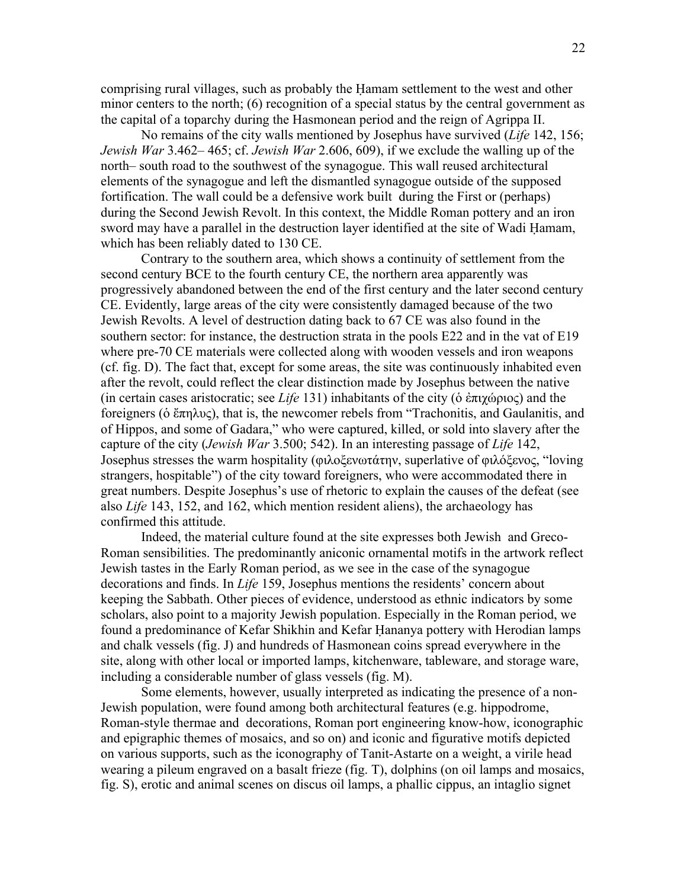comprising rural villages, such as probably the Ḥamam settlement to the west and other minor centers to the north; (6) recognition of a special status by the central government as the capital of a toparchy during the Hasmonean period and the reign of Agrippa II.

No remains of the city walls mentioned by Josephus have survived (*Life* 142, 156; *Jewish War* 3.462– 465; cf. *Jewish War* 2.606, 609), if we exclude the walling up of the north– south road to the southwest of the synagogue. This wall reused architectural elements of the synagogue and left the dismantled synagogue outside of the supposed fortification. The wall could be a defensive work built during the First or (perhaps) during the Second Jewish Revolt. In this context, the Middle Roman pottery and an iron sword may have a parallel in the destruction layer identified at the site of Wadi Ḥamam, which has been reliably dated to 130 CE.

Contrary to the southern area, which shows a continuity of settlement from the second century BCE to the fourth century CE, the northern area apparently was progressively abandoned between the end of the first century and the later second century CE. Evidently, large areas of the city were consistently damaged because of the two Jewish Revolts. A level of destruction dating back to 67 CE was also found in the southern sector: for instance, the destruction strata in the pools E22 and in the vat of E19 where pre-70 CE materials were collected along with wooden vessels and iron weapons (cf. fig. D). The fact that, except for some areas, the site was continuously inhabited even after the revolt, could reflect the clear distinction made by Josephus between the native (in certain cases aristocratic; see *Life* 131) inhabitants of the city (ὁ ἐπιχώριος) and the foreigners (ὁ ἔπηλυς), that is, the newcomer rebels from "Trachonitis, and Gaulanitis, and of Hippos, and some of Gadara," who were captured, killed, or sold into slavery after the capture of the city (*Jewish War* 3.500; 542). In an interesting passage of *Life* 142, Josephus stresses the warm hospitality (φιλοξενωτάτην, superlative of φιλόξενος, "loving strangers, hospitable") of the city toward foreigners, who were accommodated there in great numbers. Despite Josephus's use of rhetoric to explain the causes of the defeat (see also *Life* 143, 152, and 162, which mention resident aliens), the archaeology has confirmed this attitude.

Indeed, the material culture found at the site expresses both Jewish and Greco-Roman sensibilities. The predominantly aniconic ornamental motifs in the artwork reflect Jewish tastes in the Early Roman period, as we see in the case of the synagogue decorations and finds. In *Life* 159, Josephus mentions the residents' concern about keeping the Sabbath. Other pieces of evidence, understood as ethnic indicators by some scholars, also point to a majority Jewish population. Especially in the Roman period, we found a predominance of Kefar Shikhin and Kefar Ḥananya pottery with Herodian lamps and chalk vessels (fig. J) and hundreds of Hasmonean coins spread everywhere in the site, along with other local or imported lamps, kitchenware, tableware, and storage ware, including a considerable number of glass vessels (fig. M).

 Some elements, however, usually interpreted as indicating the presence of a non-Jewish population, were found among both architectural features (e.g. hippodrome, Roman-style thermae and decorations, Roman port engineering know-how, iconographic and epigraphic themes of mosaics, and so on) and iconic and figurative motifs depicted on various supports, such as the iconography of Tanit-Astarte on a weight, a virile head wearing a pileum engraved on a basalt frieze (fig. T), dolphins (on oil lamps and mosaics, fig. S), erotic and animal scenes on discus oil lamps, a phallic cippus, an intaglio signet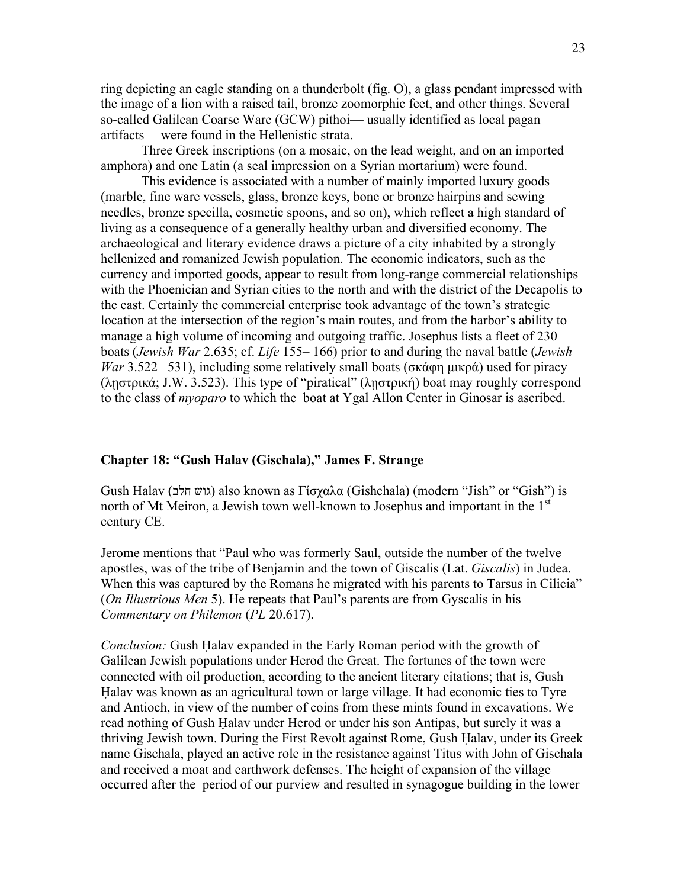ring depicting an eagle standing on a thunderbolt (fig. O), a glass pendant impressed with the image of a lion with a raised tail, bronze zoomorphic feet, and other things. Several so-called Galilean Coarse Ware (GCW) pithoi— usually identified as local pagan artifacts— were found in the Hellenistic strata.

 Three Greek inscriptions (on a mosaic, on the lead weight, and on an imported amphora) and one Latin (a seal impression on a Syrian mortarium) were found.

This evidence is associated with a number of mainly imported luxury goods (marble, fine ware vessels, glass, bronze keys, bone or bronze hairpins and sewing needles, bronze specilla, cosmetic spoons, and so on), which reflect a high standard of living as a consequence of a generally healthy urban and diversified economy. The archaeological and literary evidence draws a picture of a city inhabited by a strongly hellenized and romanized Jewish population. The economic indicators, such as the currency and imported goods, appear to result from long-range commercial relationships with the Phoenician and Syrian cities to the north and with the district of the Decapolis to the east. Certainly the commercial enterprise took advantage of the town's strategic location at the intersection of the region's main routes, and from the harbor's ability to manage a high volume of incoming and outgoing traffic. Josephus lists a fleet of 230 boats (*Jewish War* 2.635; cf. *Life* 155– 166) prior to and during the naval battle (*Jewish War* 3.522– 531), including some relatively small boats (σκάφη μικρά) used for piracy (λῃστρικά; J.W. 3.523). This type of "piratical" (λῃστρική) boat may roughly correspond to the class of *myoparo* to which the boat at Ygal Allon Center in Ginosar is ascribed.

#### **Chapter 18: "Gush Halav (Gischala)," James F. Strange**

Gush Halav (גוש חלב) also known as Γίσχαλα (Gishchala) (modern "Jish" or "Gish") is north of Mt Meiron, a Jewish town well-known to Josephus and important in the  $1<sup>st</sup>$ century CE.

Jerome mentions that "Paul who was formerly Saul, outside the number of the twelve apostles, was of the tribe of Benjamin and the town of Giscalis (Lat. *Giscalis*) in Judea. When this was captured by the Romans he migrated with his parents to Tarsus in Cilicia" (*On Illustrious Men* 5). He repeats that Paul's parents are from Gyscalis in his *Commentary on Philemon* (*PL* 20.617).

*Conclusion:* Gush Ḥalav expanded in the Early Roman period with the growth of Galilean Jewish populations under Herod the Great. The fortunes of the town were connected with oil production, according to the ancient literary citations; that is, Gush Ḥalav was known as an agricultural town or large village. It had economic ties to Tyre and Antioch, in view of the number of coins from these mints found in excavations. We read nothing of Gush Ḥalav under Herod or under his son Antipas, but surely it was a thriving Jewish town. During the First Revolt against Rome, Gush Ḥalav, under its Greek name Gischala, played an active role in the resistance against Titus with John of Gischala and received a moat and earthwork defenses. The height of expansion of the village occurred after the period of our purview and resulted in synagogue building in the lower